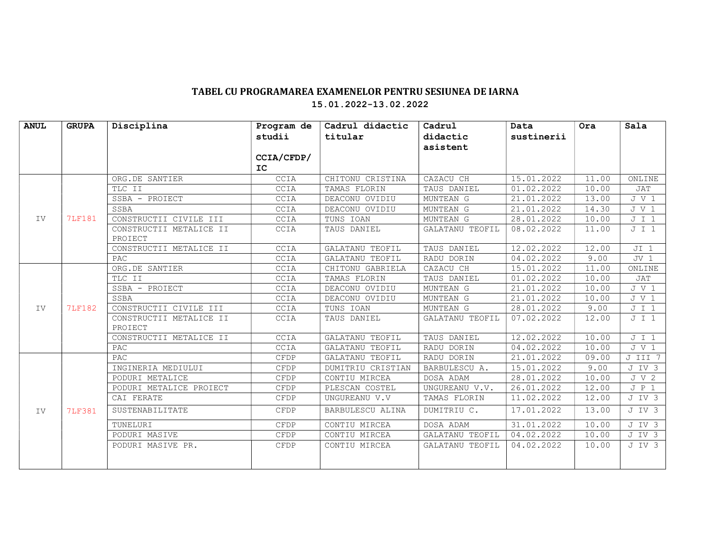## TABEL CU PROGRAMAREA EXAMENELOR PENTRU SESIUNEA DE IARNA 15.01.2022-13.02.2022

| <b>ANUL</b> | <b>GRUPA</b>  | Disciplina                         | Program de | Cadrul didactic   | Cadrul          | Data       | Ora   | Sala        |
|-------------|---------------|------------------------------------|------------|-------------------|-----------------|------------|-------|-------------|
|             |               |                                    | studii     | titular           | didactic        | sustinerii |       |             |
|             |               |                                    |            |                   | asistent        |            |       |             |
|             |               |                                    | CCIA/CFDP/ |                   |                 |            |       |             |
|             |               |                                    | IC.        |                   |                 |            |       |             |
| IV          | <b>7LF181</b> | ORG.DE SANTIER                     | CCIA       | CHITONU CRISTINA  | CAZACU CH       | 15.01.2022 | 11.00 | ONLINE      |
|             |               | TLC II                             | CCIA       | TAMAS FLORIN      | TAUS DANIEL     | 01.02.2022 | 10.00 | JAT         |
|             |               | SSBA - PROIECT                     | CCIA       | DEACONU OVIDIU    | MUNTEAN G       | 21.01.2022 | 13.00 | J V 1       |
|             |               | SSBA                               | CCIA       | DEACONU OVIDIU    | MUNTEAN G       | 21.01.2022 | 14.30 | J V 1       |
|             |               | CONSTRUCTII CIVILE III             | CCIA       | TUNS IOAN         | MUNTEAN G       | 28.01.2022 | 10.00 | J I 1       |
|             |               | CONSTRUCTII METALICE II            | CCIA       | TAUS DANIEL       | GALATANU TEOFIL | 08.02.2022 | 11.00 | J I 1       |
|             |               | PROIECT                            |            |                   |                 |            |       |             |
|             |               | CONSTRUCTII METALICE II            | CCIA       | GALATANU TEOFIL   | TAUS DANIEL     | 12.02.2022 | 12.00 | $JI$ 1      |
|             |               | PAC.                               | CCIA       | GALATANU TEOFIL   | RADU DORIN      | 04.02.2022 | 9.00  | $JV_1$      |
| IV          | <b>7LF182</b> | ORG.DE SANTIER                     | CCIA       | CHITONU GABRIELA  | CAZACU CH       | 15.01.2022 | 11.00 | ONLINE      |
|             |               | TLC II                             | CCIA       | TAMAS FLORIN      | TAUS DANIEL     | 01.02.2022 | 10.00 | JAT         |
|             |               | SSBA - PROIECT                     | CCIA       | DEACONU OVIDIU    | MUNTEAN G       | 21.01.2022 | 10.00 | J V 1       |
|             |               | SSBA                               | CCIA       | DEACONU OVIDIU    | MUNTEAN G       | 21.01.2022 | 10.00 | J V 1       |
|             |               | CONSTRUCTII CIVILE III             | CCIA       | TUNS IOAN         | MUNTEAN G       | 28.01.2022 | 9.00  | J I 1       |
|             |               | CONSTRUCTII METALICE II<br>PROIECT | CCIA       | TAUS DANIEL       | GALATANU TEOFIL | 07.02.2022 | 12.00 | J I 1       |
|             |               | CONSTRUCTII METALICE II            | CCIA       | GALATANU TEOFIL   | TAUS DANIEL     | 12.02.2022 | 10.00 | J I 1       |
|             |               | PAC                                | CCIA       | GALATANU TEOFIL   | RADU DORIN      | 04.02.2022 | 10.00 | J V 1       |
| IV          | <b>7LF381</b> | PAC                                | CFDP       | GALATANU TEOFIL   | RADU DORIN      | 21.01.2022 | 09.00 | J III 7     |
|             |               | INGINERIA MEDIULUI                 | CFDP       | DUMITRIU CRISTIAN | BARBULESCU A.   | 15.01.2022 | 9.00  | J IV 3      |
|             |               | PODURI METALICE                    | CFDP       | CONTIU MIRCEA     | DOSA ADAM       | 28.01.2022 | 10.00 | J V 2       |
|             |               | PODURI METALICE PROIECT            | CFDP       | PLESCAN COSTEL    | UNGUREANU V.V.  | 26.01.2022 | 12.00 | $J$ $P$ $1$ |
|             |               | CAI FERATE                         | CFDP       | UNGUREANU V.V     | TAMAS FLORIN    | 11.02.2022 | 12.00 | J IV 3      |
|             |               | SUSTENABILITATE                    | CFDP       | BARBULESCU ALINA  | DUMITRIU C.     | 17.01.2022 | 13.00 | J IV 3      |
|             |               | TUNELURI                           | CFDP       | CONTIU MIRCEA     | DOSA ADAM       | 31.01.2022 | 10.00 | J IV 3      |
|             |               | PODURI MASIVE                      | CFDP       | CONTIU MIRCEA     | GALATANU TEOFIL | 04.02.2022 | 10.00 | J IV 3      |
|             |               | PODURI MASIVE PR.                  | CFDP       | CONTIU MIRCEA     | GALATANU TEOFIL | 04.02.2022 | 10.00 | J IV 3      |
|             |               |                                    |            |                   |                 |            |       |             |